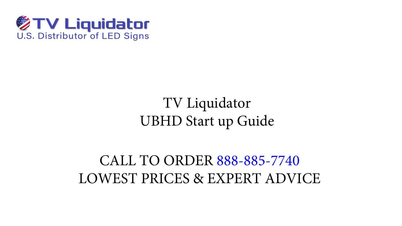

TV Liquidator UBHD Start up Guide

CALL TO ORDER 888-885-7740 LOWEST PRICES & EXPERT ADVICE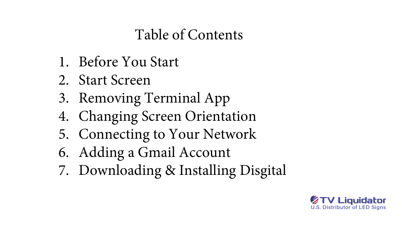#### Table of Contents





- 1. Before You Start
- 2. Start Screen
- 3. Removing Terminal App
- 4. Changing Screen Orientation
- 5. Connecting to Your Network
- 6. Adding a Gmail Account
- 7. Downloading & Installing Disgital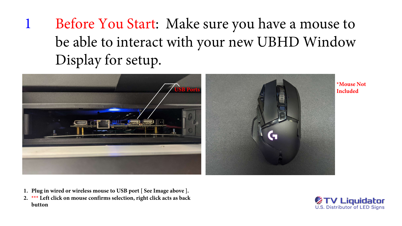# <sup>1</sup> Before You Start: Make sure you have a mouse to be able to interact with your new UBHD Window Display for setup.

- **1. Plug in wired or wireless mouse to USB port [ See Image above ].**
- **2. \*\*\* Left click on mouse confirms selection, right click acts as back button**

**\*Mouse Not**



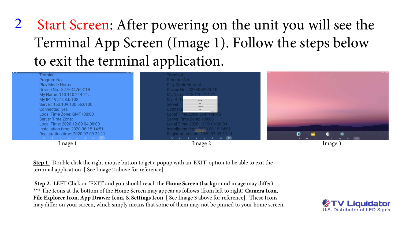# <sup>2</sup> Start Screen: After powering on the unit you will see the Terminal App Screen (Image 1). Follow the steps below to exit the terminal application.

**Terminal** Program:No Play Mode: Normal Device No.: 327ED4269C1B My Name: 113.110.214.21... My IP: 192.168.0.102 Server: 150.109.100.56:6100 Connected: yes Local Time Zone: GMT+08:00 **Server Time Zone:** Local Time: 2020-12-09 04:08:00 Installation time: 2020-06-15 14:51 Registration time: 2020-07-09 23:11 

**Terminal** Program:No Play Mode: Normal **My Nam** My IP: **Server:** Conner

**Step 1.** Double click the right mouse button to get a popup with an 'EXIT' option to be able to exit the terminal application [ See Image 2 above for reference].

**Step 2.** LEFT Click on 'EXIT' and you should reach the **Home Screen** (background image may differ). \*\*\* The Icons at the bottom of the Home Screen may appear as follows (from left to right) **Camera Icon**, **File Explorer Icon**, **App Drawer Icon,** & **Settings Icon** [ See Image 3 above for reference]. These Icons may differ on your screen, which simply means that some of them may not be pinned to your home screen.







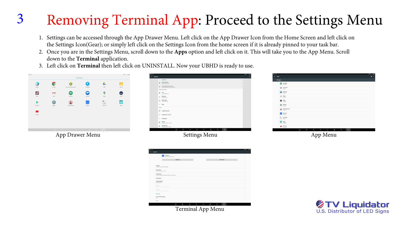# <sup>3</sup> Removing Terminal App: Proceed to the Settings Menu

1. Settings can be accessed through the App Drawer Menu. Left click on the App Drawer Icon from the Home Screen and left click on the Settings Icon(Gear); or simply left click on the Settings Icon from the home screen if it is already pinned to your task bar. 2. Once you are in the Settings Menu, scroll down to the **Apps** option and left click on it. This will take you to the App Menu. Scroll

| 图主中<br>$\equiv$<br>Apps                                                                               |              |   |          |         |   |              |                        |                                        | $3 - 04$ |
|-------------------------------------------------------------------------------------------------------|--------------|---|----------|---------|---|--------------|------------------------|----------------------------------------|----------|
| All apps -                                                                                            |              |   |          |         |   |              |                        |                                        |          |
| $\bigoplus$ Hangouts                                                                                  |              |   |          |         |   |              |                        |                                        |          |
| $\bigoplus_{296 \text{ KB}} \text{Launcher3}$                                                         |              |   |          |         |   |              |                        |                                        |          |
| $\bigodot$ Lightning                                                                                  |              |   |          |         |   |              |                        |                                        |          |
| $\bigotimes$ Maps                                                                                     |              |   |          |         |   |              |                        |                                        |          |
| Music<br>$20.00$ KB<br>$\circ$                                                                        |              |   |          |         |   |              |                        |                                        |          |
| $\overline{361}$ Settings                                                                             |              |   |          |         |   |              |                        |                                        |          |
| Sound Recorder<br>$8.00$ KB<br>◉                                                                      |              |   |          |         |   |              |                        |                                        |          |
| Terminal<br>109 MB                                                                                    |              |   |          |         |   |              |                        |                                        |          |
| $\begin{tabular}{ c c c } \hline \quad & Test Tools \\ \hline \quad & 572 KB \\ \hline \end{tabular}$ |              |   |          |         |   |              |                        |                                        |          |
| $\overline{\mathbf{D}}$<br>$V$ ideo<br>20.00 KB                                                       |              |   |          |         |   |              |                        |                                        |          |
| YouTube<br>$_{\text{B7.49 MP}}$                                                                       |              |   |          |         |   |              |                        |                                        |          |
|                                                                                                       | $\mathbb{C}$ | ą | $\Delta$ | $\circ$ | ņ | $\mathbf{Q}$ | $\boldsymbol{\lambda}$ | $\overline{\mathbb{C}^n_{\mathbb{Q}}}$ |          |

- 
- down to the **Terminal** application.
- 3. Left click on **Terminal** then left click on UNINSTALL. Now your UBHD is ready to use.





Terminal App Menu



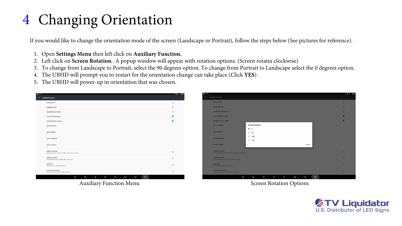### <sup>4</sup> Changing Orientation

If you would like to change the orientation mode of the screen (Landscape or Portrait), follow the steps below (See pictures for reference).

- 1. Open **Settings Menu** then left click on **Auxiliary Function.**
- 2. Left click on **Screen Rotation.** A popup window will appear with rotation options. (Screen rotates clockwise)
- 
- 4. The UBHD will prompt you to restart for the orientation change can take place (Click **YES**).
- 5. The UBHD will power-up in orientation that was chosen.

|                                                                               |  |  |  |  | $* -$                   |
|-------------------------------------------------------------------------------|--|--|--|--|-------------------------|
| <b>Auxiliary Function</b>                                                     |  |  |  |  |                         |
| Connect to PC                                                                 |  |  |  |  | $\Box$                  |
| Enable Net ADB                                                                |  |  |  |  | $\Box$                  |
| <b>Enable Ethernet Control</b>                                                |  |  |  |  | $\Box$                  |
| Allow APK Permissions                                                         |  |  |  |  | $\blacktriangledown$    |
| Limited direction rotation                                                    |  |  |  |  | $\overline{\mathbf{v}}$ |
| <b>Screen Rotation</b><br>$\overline{0}$                                      |  |  |  |  |                         |
| <b>Touch Rotation</b><br>$\Omega$                                             |  |  |  |  |                         |
| Camera Rotation<br>$\overline{0}$                                             |  |  |  |  |                         |
| Camera Counts<br>T.                                                           |  |  |  |  |                         |
| USB front camera<br>Using dual cameras, MIPI and USB or dual USB, please tick |  |  |  |  | $\Box$                  |
| USB back camera<br>Using dual cameras, Dual Back USB, please tick             |  |  |  |  | $\Box$                  |
| Photo Flip<br>Save photos mirrored as previewed                               |  |  |  |  | $\Box$                  |
| Auto focus of camera<br>Cancel auto focus function, please uncheck            |  |  |  |  | $\Box$                  |

Auxiliary Function Menu **Screen Rotation Options** Screen Rotation Options

3. To change from Landscape to Portrait, select the 90 degrees option. To change from Portrait to Landscape select the 0 degrees option.



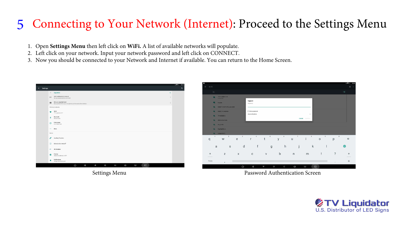#### 5 Connecting to Your Network (Internet): Proceed to the Settings Menu

- 1. Open **Settings Menu** then left click on **WiFi.** A list of available networks will populate.
- 2. Left click on your network. Input your network password and left click on CONNECT.
- 3. Now you should be connected to your Network and Internet if available. You can return to the Home Screen.

|                          |                                                                                                                                                                                                                                                                    |                                                                                              |      | $\ast\blacktriangledown$ .<br>02:23 |
|--------------------------|--------------------------------------------------------------------------------------------------------------------------------------------------------------------------------------------------------------------------------------------------------------------|----------------------------------------------------------------------------------------------|------|-------------------------------------|
| Settings<br>$\leftarrow$ |                                                                                                                                                                                                                                                                    |                                                                                              |      | $\alpha$                            |
|                          |                                                                                                                                                                                                                                                                    | $\vee$ Suggestions                                                                           | $+2$ |                                     |
|                          | $\mathbb N$                                                                                                                                                                                                                                                        | Add another email account<br>Set up your personal or work email                              | ÷    |                                     |
|                          | $\blacksquare$                                                                                                                                                                                                                                                     | Set up a payment card<br>Save payment info to your Google Account for easier online checkout | ÷    |                                     |
|                          |                                                                                                                                                                                                                                                                    | Wireless & networks                                                                          |      |                                     |
|                          | ❤                                                                                                                                                                                                                                                                  | Wi-Fi<br>"TV Liquidator 2.4"                                                                 |      |                                     |
|                          | $\ast$                                                                                                                                                                                                                                                             | Bluetooth<br>Disconnected                                                                    |      |                                     |
|                          | $\circ$                                                                                                                                                                                                                                                            | Data usage<br>0 B of data used                                                               |      |                                     |
|                          | $1.14 + 1.04 + 1.04 + 1.04 + 1.04 + 1.04 + 1.04 + 1.04 + 1.04 + 1.04 + 1.04 + 1.04 + 1.04 + 1.04 + 1.04 + 1.04 + 1.04 + 1.04 + 1.04 + 1.04 + 1.04 + 1.04 + 1.04 + 1.04 + 1.04 + 1.04 + 1.04 + 1.04 + 1.04 + 1.04 + 1.04 + 1.04 + 1.04 + 1.04 + 1.04 + 1.04 + 1.04$ | More                                                                                         |      |                                     |
|                          | Device                                                                                                                                                                                                                                                             |                                                                                              |      |                                     |
|                          | P                                                                                                                                                                                                                                                                  | <b>Auxiliary Function</b>                                                                    |      |                                     |
|                          | $\circled{1}$                                                                                                                                                                                                                                                      | Scheduled on And off                                                                         |      |                                     |
|                          | 46 <sub>o</sub>                                                                                                                                                                                                                                                    | 4G Modules                                                                                   |      |                                     |
|                          | Ð                                                                                                                                                                                                                                                                  | Display<br>Adaptive brightness is OFF                                                        |      |                                     |
|                          | ٠                                                                                                                                                                                                                                                                  | Notifications<br>All apps allowed to send                                                    |      |                                     |
|                          |                                                                                                                                                                                                                                                                    | $\cup$<br>Q<br>$\Delta$<br>$\circ$<br>$\mathbb{Q}$<br>$\lambda$<br>ά<br>$\mathbb{Z}^3$       |      |                                     |



Settings Menu **Password Authentication Screen** 





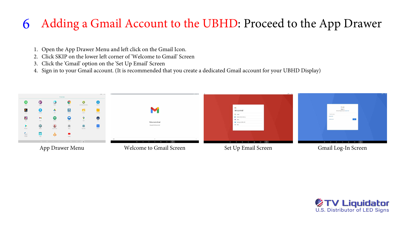- 1. Open the App Drawer Menu and left click on the Gmail Icon.<br>2. Click SKIP on the lower left corner of 'Welcome to Gmail' Scre
- 2. Click SKIP on the lower left corner of 'Welcome to Gmail' Screen
- 3. Click the 'Gmail' option on the 'Set Up Email' Screen
- 4. Sign in to your Gmail account. (It is recommended that you create a dedicated Gmail account for your UBHD Display)

#### 6 Adding a Gmail Account to the UBHD: Proceed to the App Drawer



App Drawer Menu





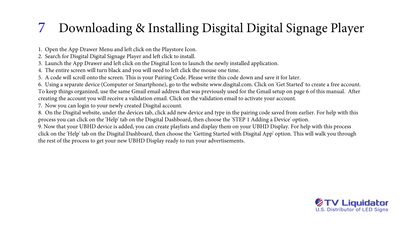### 7 Downloading & Installing Disgital Digital Signage Player

1. Open the App Drawer Menu and left click on the Playstore Icon. 2. Search for Disgital Digital Signage Player and left click to install. 3. Launch the App Drawer and left click on the Disgital Icon to launch the newly installed application. 4. The entire screen will turn black and you will need to left click the mouse one time. 5. A code will scroll onto the screen. This is your Pairing Code. Please write this code down and save it for later. 6. Using a separate device (Computer or Smartphone), go to the website www.disgital.com. Click on 'Get Started' to create a free account. To keep things organized, use the same Gmail email address that was previously used for the Gmail setup on page 6 of this manual. After creating the account you will receive a validation email. Click on the validation email to activate your account. 7. Now you can login to your newly created Disgital account. 8. On the Disgital website, under the devices tab, click add new device and type in the pairing code saved from earlier. For help with this process you can click on the 'Help' tab on the Disgital Dashboard, then choose the 'STEP 1 Adding a Device' option. 9. Now that your UBHD device is added, you can create playlists and display them on your UBHD Display. For help with this process click on the 'Help' tab on the Disgital Dashboard, then choose the 'Getting Started with Disgital App' option. This will walk you through the rest of the process to get your new UBHD Display ready to run your advertisements.